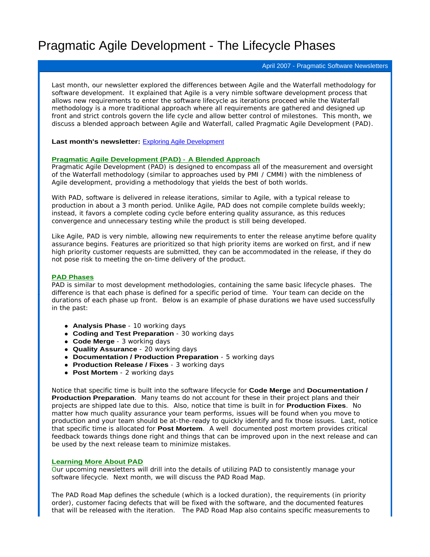# Pragmatic Agile Development - The Lifecycle Phases

#### April 2007 - Pragmatic Software Newsletters

Last month, our newsletter explored the differences between Agile and the Waterfall methodology for software development. It explained that Agile is a very nimble software development process that allows new requirements to enter the software lifecycle as iterations proceed while the Waterfall methodology is a more traditional approach where all requirements are gathered and designed up front and strict controls govern the life cycle and allow better control of milestones. This month, we discuss a blended approach between Agile and Waterfall, called Pragmatic Agile Development (PAD).

#### **Last month's newsletter:** Exploring Agile Development

#### **Pragmatic Agile Development (PAD) - A Blended Approach**

Pragmatic Agile Development (PAD) is designed to encompass all of the measurement and oversight of the Waterfall methodology (similar to approaches used by PMI / CMMI) with the nimbleness of Agile development, providing a methodology that yields the best of both worlds.

With PAD, software is delivered in release iterations, similar to Agile, with a typical release to production in about a 3 month period. Unlike Agile, PAD does not compile complete builds weekly; instead, it favors a complete coding cycle before entering quality assurance, as this reduces convergence and unnecessary testing while the product is still being developed.

Like Agile, PAD is very nimble, allowing new requirements to enter the release anytime before quality assurance begins. Features are prioritized so that high priority items are worked on first, and if new high priority customer requests are submitted, they can be accommodated in the release, if they do not pose risk to meeting the on-time delivery of the product.

#### **PAD Phases**

PAD is similar to most development methodologies, containing the same basic lifecycle phases. The difference is that each phase is defined for a specific period of time. Your team can decide on the durations of each phase up front. Below is an example of phase durations we have used successfully in the past: the state of the state of the state of the state of the state of the state of the state of the state of the state of the state of the state of the state of the state of the state of the state of the state of t

- **Analysis Phase**  10 working days
- **Coding and Test Preparation** 30 working days
- **Code Merge**  3 working days
- **Quality Assurance** 20 working days
- **Documentation / Production Preparation** 5 working days
- **Production Release / Fixes** 3 working days
- **Post Mortem** 2 working days

Notice that specific time is built into the software lifecycle for **Code Merge** and **Documentation / Production Preparation**. Many teams do not account for these in their project plans and their projects are shipped late due to this. Also, notice that time is built in for **Production Fixes**. No matter how much quality assurance your team performs, issues will be found when you move to production and your team should be at-the-ready to quickly identify and fix those issues. Last, notice that specific time is allocated for **Post Mortem**. A well documented post mortem provides critical feedback towards things done right and things that can be improved upon in the next release and can be used by the next release team to minimize mistakes.

#### **Learning More About PAD**

Our upcoming newsletters will drill into the details of utilizing PAD to consistently manage your software lifecycle. Next month, we will discuss the PAD Road Map.

The PAD Road Map defines the schedule (which is a locked duration), the requirements (in priority order), customer facing defects that will be fixed with the software, and the documented features that will be released with the iteration. The PAD Road Map also contains specific measurements to